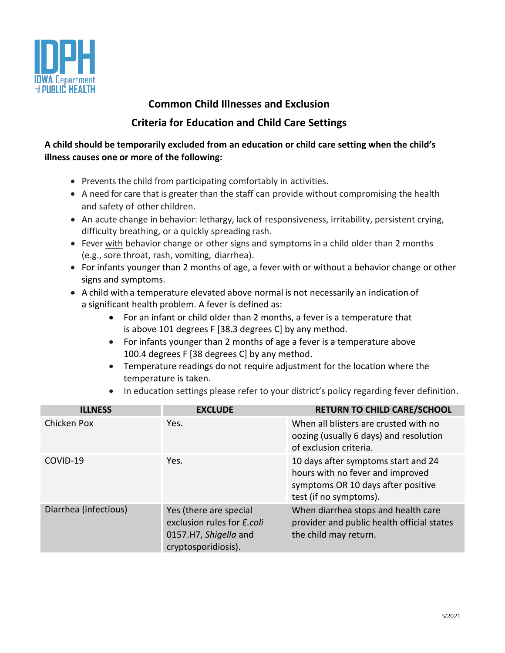

## **Common Child Illnesses and Exclusion Criteria for Education and Child Care Settings**

## **A child should be temporarily excluded from an education or child care setting when the child's illness causes one or more of the following:**

- Prevents the child from participating comfortably in activities.
- A need for care that is greater than the staff can provide without compromising the health and safety of other children.
- An acute change in behavior: lethargy, lack of responsiveness, irritability, persistent crying, difficulty breathing, or a quickly spreading rash.
- Fever with behavior change or other signs and symptoms in a child older than 2 months (e.g., sore throat, rash, vomiting, diarrhea).
- For infants younger than 2 months of age, a fever with or without a behavior change or other signs and symptoms.
- A child with a temperature elevated above normal is not necessarily an indication of a significant health problem. A fever is defined as:
	- For an infant or child older than 2 months, a fever is a temperature that is above 101 degrees F [38.3 degrees C] by any method.
	- For infants younger than 2 months of age a fever is a temperature above 100.4 degrees F [38 degrees C] by any method.
	- Temperature readings do not require adjustment for the location where the temperature is taken.
	- In education settings please refer to your district's policy regarding fever definition.

| <b>ILLNESS</b>        | <b>EXCLUDE</b>                                                                                       | <b>RETURN TO CHILD CARE/SCHOOL</b>                                                                                                      |
|-----------------------|------------------------------------------------------------------------------------------------------|-----------------------------------------------------------------------------------------------------------------------------------------|
| Chicken Pox           | Yes.                                                                                                 | When all blisters are crusted with no<br>oozing (usually 6 days) and resolution<br>of exclusion criteria.                               |
| COVID-19              | Yes.                                                                                                 | 10 days after symptoms start and 24<br>hours with no fever and improved<br>symptoms OR 10 days after positive<br>test (if no symptoms). |
| Diarrhea (infectious) | Yes (there are special<br>exclusion rules for E.coli<br>0157.H7, Shigella and<br>cryptosporidiosis). | When diarrhea stops and health care<br>provider and public health official states<br>the child may return.                              |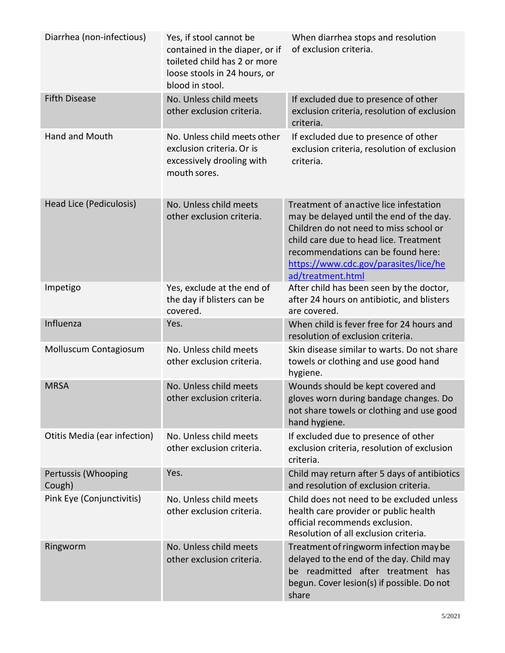| Diarrhea (non-infectious)     | Yes, if stool cannot be<br>contained in the diaper, or if<br>toileted child has 2 or more<br>loose stools in 24 hours, or<br>blood in stool. | When diarrhea stops and resolution<br>of exclusion criteria.                                                                                                                                                                                                               |
|-------------------------------|----------------------------------------------------------------------------------------------------------------------------------------------|----------------------------------------------------------------------------------------------------------------------------------------------------------------------------------------------------------------------------------------------------------------------------|
| <b>Fifth Disease</b>          | No. Unless child meets<br>other exclusion criteria.                                                                                          | If excluded due to presence of other<br>exclusion criteria, resolution of exclusion<br>criteria.                                                                                                                                                                           |
| <b>Hand and Mouth</b>         | No. Unless child meets other<br>exclusion criteria. Or is<br>excessively drooling with<br>mouth sores.                                       | If excluded due to presence of other<br>exclusion criteria, resolution of exclusion<br>criteria.                                                                                                                                                                           |
| Head Lice (Pediculosis)       | No. Unless child meets<br>other exclusion criteria.                                                                                          | Treatment of anactive lice infestation<br>may be delayed until the end of the day.<br>Children do not need to miss school or<br>child care due to head lice. Treatment<br>recommendations can be found here:<br>https://www.cdc.gov/parasites/lice/he<br>ad/treatment.html |
| Impetigo                      | Yes, exclude at the end of<br>the day if blisters can be<br>covered.                                                                         | After child has been seen by the doctor,<br>after 24 hours on antibiotic, and blisters<br>are covered.                                                                                                                                                                     |
| Influenza                     | Yes.                                                                                                                                         | When child is fever free for 24 hours and<br>resolution of exclusion criteria.                                                                                                                                                                                             |
| Molluscum Contagiosum         | No. Unless child meets<br>other exclusion criteria.                                                                                          | Skin disease similar to warts. Do not share<br>towels or clothing and use good hand<br>hygiene.                                                                                                                                                                            |
| <b>MRSA</b>                   | No. Unless child meets<br>other exclusion criteria                                                                                           | Wounds should be kept covered and<br>gloves worn during bandage changes. Do<br>not share towels or clothing and use good<br>hand hygiene.                                                                                                                                  |
| Otitis Media (ear infection)  | No. Unless child meets<br>other exclusion criteria.                                                                                          | If excluded due to presence of other<br>exclusion criteria, resolution of exclusion<br>criteria.                                                                                                                                                                           |
| Pertussis (Whooping<br>Cough) | Yes.                                                                                                                                         | Child may return after 5 days of antibiotics<br>and resolution of exclusion criteria.                                                                                                                                                                                      |
| Pink Eye (Conjunctivitis)     | No. Unless child meets<br>other exclusion criteria.                                                                                          | Child does not need to be excluded unless<br>health care provider or public health<br>official recommends exclusion.<br>Resolution of all exclusion criteria.                                                                                                              |
| Ringworm                      | No. Unless child meets<br>other exclusion criteria.                                                                                          | Treatment of ringworm infection may be<br>delayed to the end of the day. Child may<br>be readmitted after treatment has<br>begun. Cover lesion(s) if possible. Do not<br>share                                                                                             |